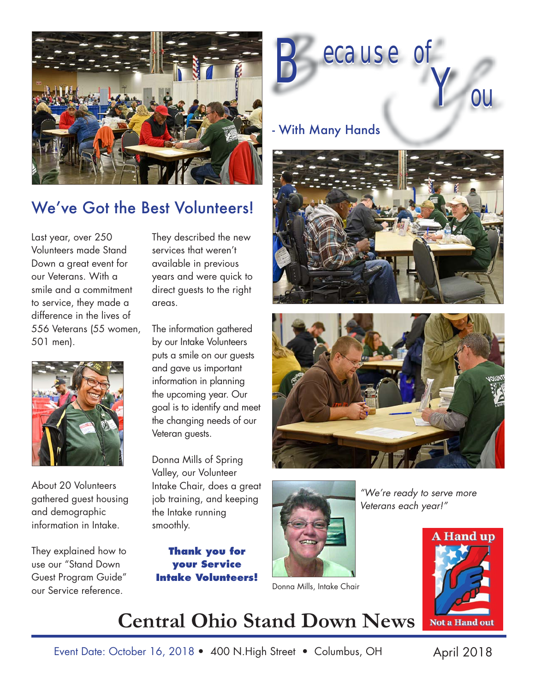

## We've Got the Best Volunteers!

Last year, over 250 Volunteers made Stand Down a great event for our Veterans. With a smile and a commitment to service, they made a difference in the lives of 556 Veterans (55 women, 501 men).



About 20 Volunteers gathered guest housing and demographic information in Intake.

They explained how to use our "Stand Down Guest Program Guide" our Service reference. The contraction of the Donna Mills, Intake Chair

They described the new services that weren't available in previous years and were quick to direct guests to the right areas.

The information gathered by our Intake Volunteers puts a smile on our guests and gave us important information in planning the upcoming year. Our goal is to identify and meet the changing needs of our Veteran guests.

Donna Mills of Spring Valley, our Volunteer Intake Chair, does a great job training, and keeping the Intake running smoothly.

**Thank you for your Service Intake Volunteers!**



### - With Many Hands







*"We're ready to serve more Veterans each year!"*



# **Central Ohio Stand Down News**

Event Date: October 16, 2018 • 400 N.High Street • Columbus, OH April 2018